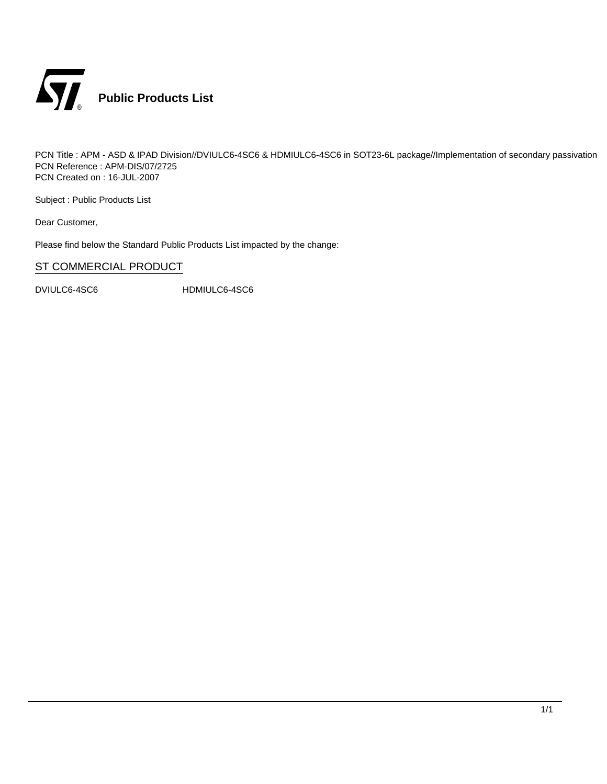

PCN Title : APM - ASD & IPAD Division//DVIULC6-4SC6 & HDMIULC6-4SC6 in SOT23-6L package//Implementation of secondary passivation PCN Reference : APM-DIS/07/2725 PCN Created on : 16-JUL-2007

Subject : Public Products List

Dear Customer,

Please find below the Standard Public Products List impacted by the change:

## ST COMMERCIAL PRODUCT

DVIULC6-4SC6 HDMIULC6-4SC6